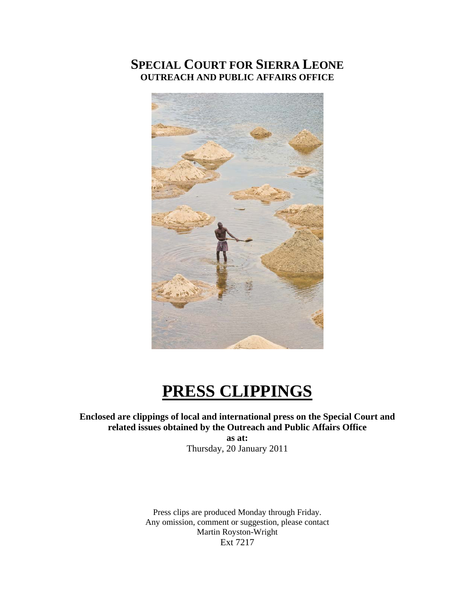# **SPECIAL COURT FOR SIERRA LEONE OUTREACH AND PUBLIC AFFAIRS OFFICE**



# **PRESS CLIPPINGS**

### **Enclosed are clippings of local and international press on the Special Court and related issues obtained by the Outreach and Public Affairs Office**

**as at:**  Thursday, 20 January 2011

Press clips are produced Monday through Friday. Any omission, comment or suggestion, please contact Martin Royston-Wright Ext 7217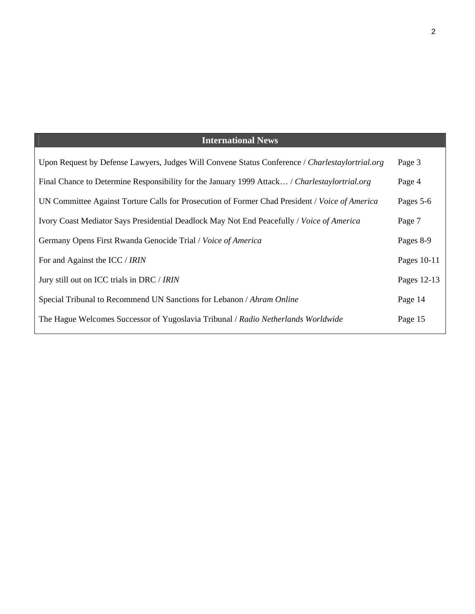# **International News**

| Upon Request by Defense Lawyers, Judges Will Convene Status Conference / Charlestaylortrial.org | Page 3      |
|-------------------------------------------------------------------------------------------------|-------------|
| Final Chance to Determine Responsibility for the January 1999 Attack / Charlestaylortrial.org   | Page 4      |
| UN Committee Against Torture Calls for Prosecution of Former Chad President / Voice of America  | Pages 5-6   |
| Ivory Coast Mediator Says Presidential Deadlock May Not End Peacefully / Voice of America       | Page 7      |
| Germany Opens First Rwanda Genocide Trial / Voice of America                                    | Pages 8-9   |
| For and Against the ICC / IRIN                                                                  | Pages 10-11 |
| Jury still out on ICC trials in DRC / IRIN                                                      | Pages 12-13 |
| Special Tribunal to Recommend UN Sanctions for Lebanon / Ahram Online                           | Page 14     |
| The Hague Welcomes Successor of Yugoslavia Tribunal / Radio Netherlands Worldwide               | Page 15     |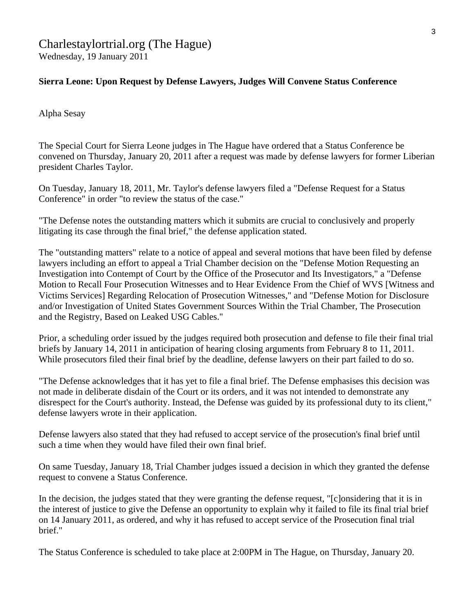## Charlestaylortrial.org (The Hague) Wednesday, 19 January 2011

#### **Sierra Leone: Upon Request by Defense Lawyers, Judges Will Convene Status Conference**

Alpha Sesay

The Special Court for Sierra Leone judges in The Hague have ordered that a Status Conference be convened on Thursday, January 20, 2011 after a request was made by defense lawyers for former Liberian president Charles Taylor.

On Tuesday, January 18, 2011, Mr. Taylor's defense lawyers filed a "Defense Request for a Status Conference" in order "to review the status of the case."

"The Defense notes the outstanding matters which it submits are crucial to conclusively and properly litigating its case through the final brief," the defense application stated.

The "outstanding matters" relate to a notice of appeal and several motions that have been filed by defense lawyers including an effort to appeal a Trial Chamber decision on the "Defense Motion Requesting an Investigation into Contempt of Court by the Office of the Prosecutor and Its Investigators," a "Defense Motion to Recall Four Prosecution Witnesses and to Hear Evidence From the Chief of WVS [Witness and Victims Services] Regarding Relocation of Prosecution Witnesses," and "Defense Motion for Disclosure and/or Investigation of United States Government Sources Within the Trial Chamber, The Prosecution and the Registry, Based on Leaked USG Cables."

Prior, a scheduling order issued by the judges required both prosecution and defense to file their final trial briefs by January 14, 2011 in anticipation of hearing closing arguments from February 8 to 11, 2011. While prosecutors filed their final brief by the deadline, defense lawyers on their part failed to do so.

"The Defense acknowledges that it has yet to file a final brief. The Defense emphasises this decision was not made in deliberate disdain of the Court or its orders, and it was not intended to demonstrate any disrespect for the Court's authority. Instead, the Defense was guided by its professional duty to its client," defense lawyers wrote in their application.

Defense lawyers also stated that they had refused to accept service of the prosecution's final brief until such a time when they would have filed their own final brief.

On same Tuesday, January 18, Trial Chamber judges issued a decision in which they granted the defense request to convene a Status Conference.

In the decision, the judges stated that they were granting the defense request, "[c]onsidering that it is in the interest of justice to give the Defense an opportunity to explain why it failed to file its final trial brief on 14 January 2011, as ordered, and why it has refused to accept service of the Prosecution final trial brief."

The Status Conference is scheduled to take place at 2:00PM in The Hague, on Thursday, January 20.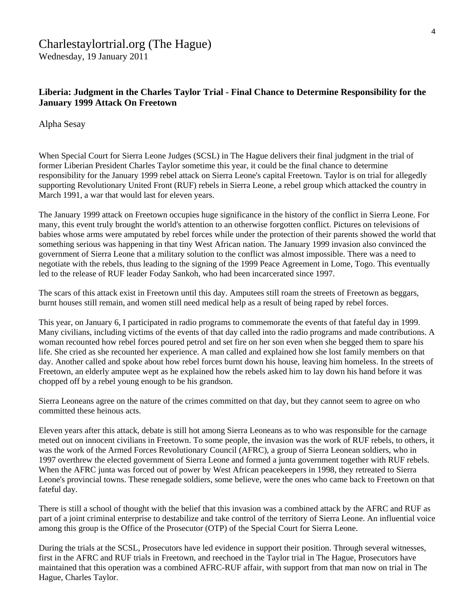#### **Liberia: Judgment in the Charles Taylor Trial - Final Chance to Determine Responsibility for the January 1999 Attack On Freetown**

Alpha Sesay

When Special Court for Sierra Leone Judges (SCSL) in The Hague delivers their final judgment in the trial of former Liberian President Charles Taylor sometime this year, it could be the final chance to determine responsibility for the January 1999 rebel attack on Sierra Leone's capital Freetown. Taylor is on trial for allegedly supporting Revolutionary United Front (RUF) rebels in Sierra Leone, a rebel group which attacked the country in March 1991, a war that would last for eleven years.

The January 1999 attack on Freetown occupies huge significance in the history of the conflict in Sierra Leone. For many, this event truly brought the world's attention to an otherwise forgotten conflict. Pictures on televisions of babies whose arms were amputated by rebel forces while under the protection of their parents showed the world that something serious was happening in that tiny West African nation. The January 1999 invasion also convinced the government of Sierra Leone that a military solution to the conflict was almost impossible. There was a need to negotiate with the rebels, thus leading to the signing of the 1999 Peace Agreement in Lome, Togo. This eventually led to the release of RUF leader Foday Sankoh, who had been incarcerated since 1997.

The scars of this attack exist in Freetown until this day. Amputees still roam the streets of Freetown as beggars, burnt houses still remain, and women still need medical help as a result of being raped by rebel forces.

This year, on January 6, I participated in radio programs to commemorate the events of that fateful day in 1999. Many civilians, including victims of the events of that day called into the radio programs and made contributions. A woman recounted how rebel forces poured petrol and set fire on her son even when she begged them to spare his life. She cried as she recounted her experience. A man called and explained how she lost family members on that day. Another called and spoke about how rebel forces burnt down his house, leaving him homeless. In the streets of Freetown, an elderly amputee wept as he explained how the rebels asked him to lay down his hand before it was chopped off by a rebel young enough to be his grandson.

Sierra Leoneans agree on the nature of the crimes committed on that day, but they cannot seem to agree on who committed these heinous acts.

Eleven years after this attack, debate is still hot among Sierra Leoneans as to who was responsible for the carnage meted out on innocent civilians in Freetown. To some people, the invasion was the work of RUF rebels, to others, it was the work of the Armed Forces Revolutionary Council (AFRC), a group of Sierra Leonean soldiers, who in 1997 overthrew the elected government of Sierra Leone and formed a junta government together with RUF rebels. When the AFRC junta was forced out of power by West African peacekeepers in 1998, they retreated to Sierra Leone's provincial towns. These renegade soldiers, some believe, were the ones who came back to Freetown on that fateful day.

There is still a school of thought with the belief that this invasion was a combined attack by the AFRC and RUF as part of a joint criminal enterprise to destabilize and take control of the territory of Sierra Leone. An influential voice among this group is the Office of the Prosecutor (OTP) of the Special Court for Sierra Leone.

During the trials at the SCSL, Prosecutors have led evidence in support their position. Through several witnesses, first in the AFRC and RUF trials in Freetown, and reechoed in the Taylor trial in The Hague, Prosecutors have maintained that this operation was a combined AFRC-RUF affair, with support from that man now on trial in The Hague, Charles Taylor.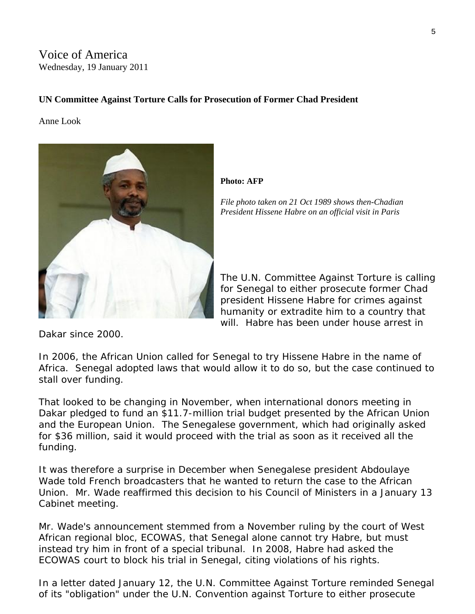Voice of America Wednesday, 19 January 2011

#### **UN Committee Against Torture Calls for Prosecution of Former Chad President**

Anne Look



**Photo: AFP** 

*File photo taken on 21 Oct 1989 shows then-Chadian President Hissene Habre on an official visit in Paris* 

The U.N. Committee Against Torture is c alling for Senegal to either prosecute former Chad president Hissene Habre for crimes agains t humanity or extradite him to a country t hat will. Habre has been under house arrest i n

Dakar since 2000.

In 2006, the African Union called for Senegal to try Hissene Habre in the name of Africa. Senegal adopted laws that would allow it to do so, but the case continued to stall over funding.

That looked to be changing in November, when international donors meeting in Dakar pledged to fund an \$11.7-million trial budget presented by the African Union and the European Union. The Senegalese government, which had originally asked for \$36 million, said it would proceed with the trial as soon as it received all the funding.

It was therefore a surprise in December when Senegalese president Abdoulaye Wade told French broadcasters that he wanted to return the case to the African Union. Mr. Wade reaffirmed this decision to his Council of Ministers in a January 13 Cabinet meeting.

Mr. Wade's announcement stemmed from a November ruling by the court of West African regional bloc, ECOWAS, that Senegal alone cannot try Habre, but must instead try him in front of a special tribunal. In 2008, Habre had asked the ECOWAS court to block his trial in Senegal, citing violations of his rights.

In a letter dated January 12, the U.N. Committee Against Torture reminded Senegal of its "obligation" under the U.N. Convention against Torture to either prosecute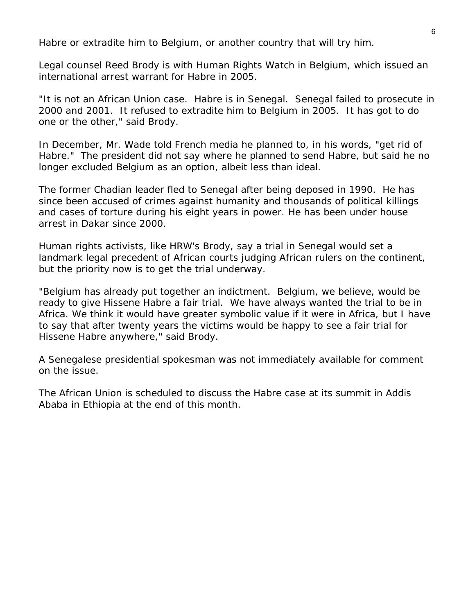Habre or extradite him to Belgium, or another country that will try him.

Legal counsel Reed Brody is with Human Rights Watch in Belgium, which issued an international arrest warrant for Habre in 2005.

"It is not an African Union case. Habre is in Senegal. Senegal failed to prosecute in 2000 and 2001. It refused to extradite him to Belgium in 2005. It has got to do one or the other," said Brody.

In December, Mr. Wade told French media he planned to, in his words, "get rid of Habre." The president did not say where he planned to send Habre, but said he no longer excluded Belgium as an option, albeit less than ideal.

The former Chadian leader fled to Senegal after being deposed in 1990. He has since been accused of crimes against humanity and thousands of political killings and cases of torture during his eight years in power. He has been under house arrest in Dakar since 2000.

Human rights activists, like HRW's Brody, say a trial in Senegal would set a landmark legal precedent of African courts judging African rulers on the continent, but the priority now is to get the trial underway.

"Belgium has already put together an indictment. Belgium, we believe, would be ready to give Hissene Habre a fair trial. We have always wanted the trial to be in Africa. We think it would have greater symbolic value if it were in Africa, but I have to say that after twenty years the victims would be happy to see a fair trial for Hissene Habre anywhere," said Brody.

A Senegalese presidential spokesman was not immediately available for comment on the issue.

The African Union is scheduled to discuss the Habre case at its summit in Addis Ababa in Ethiopia at the end of this month.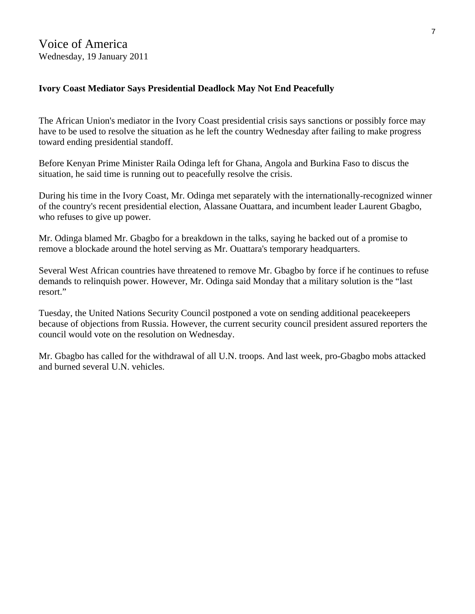#### **Ivory Coast Mediator Says Presidential Deadlock May Not End Peacefully**

The African Union's mediator in the Ivory Coast presidential crisis says sanctions or possibly force may have to be used to resolve the situation as he left the country Wednesday after failing to make progress toward ending presidential standoff.

Before Kenyan Prime Minister Raila Odinga left for Ghana, Angola and Burkina Faso to discus the situation, he said time is running out to peacefully resolve the crisis.

During his time in the Ivory Coast, Mr. Odinga met separately with the internationally-recognized winner of the country's recent presidential election, Alassane Ouattara, and incumbent leader Laurent Gbagbo, who refuses to give up power.

Mr. Odinga blamed Mr. Gbagbo for a breakdown in the talks, saying he backed out of a promise to remove a blockade around the hotel serving as Mr. Ouattara's temporary headquarters.

Several West African countries have threatened to remove Mr. Gbagbo by force if he continues to refuse demands to relinquish power. However, Mr. Odinga said Monday that a military solution is the "last resort."

Tuesday, the United Nations Security Council postponed a vote on sending additional peacekeepers because of objections from Russia. However, the current security council president assured reporters the council would vote on the resolution on Wednesday.

Mr. Gbagbo has called for the withdrawal of all U.N. troops. And last week, pro-Gbagbo mobs attacked and burned several U.N. vehicles.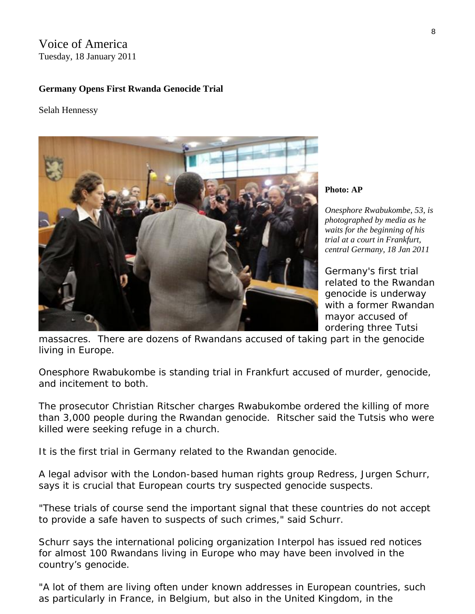Voice of America Tuesday, 18 January 2011

#### **Germany Opens First Rwanda Genocide Trial**

Selah Hennessy



**Photo: AP** 

*Onesphore Rwabukombe, 53, is photographed by media as he waits for the beginning of his trial at a court in Frankfurt, central Germany, 18 Jan 2011* 

Germany's first trial related to the Rwandan genocide is underway with a former Rwandan mayor accused of ordering three Tutsi

massacres. There are dozens of Rwandans accused of taking part in the genocide living in Europe.

Onesphore Rwabukombe is standing trial in Frankfurt accused of murder, genocide, and incitement to both.

The prosecutor Christian Ritscher charges Rwabukombe ordered the killing of more than 3,000 people during the Rwandan genocide. Ritscher said the Tutsis who were killed were seeking refuge in a church.

It is the first trial in Germany related to the Rwandan genocide.

A legal advisor with the London-based human rights group Redress, Jurgen Schurr, says it is crucial that European courts try suspected genocide suspects.

"These trials of course send the important signal that these countries do not accept to provide a safe haven to suspects of such crimes," said Schurr.

Schurr says the international policing organization Interpol has issued red notices for almost 100 Rwandans living in Europe who may have been involved in the country's genocide.

"A lot of them are living often under known addresses in European countries, such as particularly in France, in Belgium, but also in the United Kingdom, in the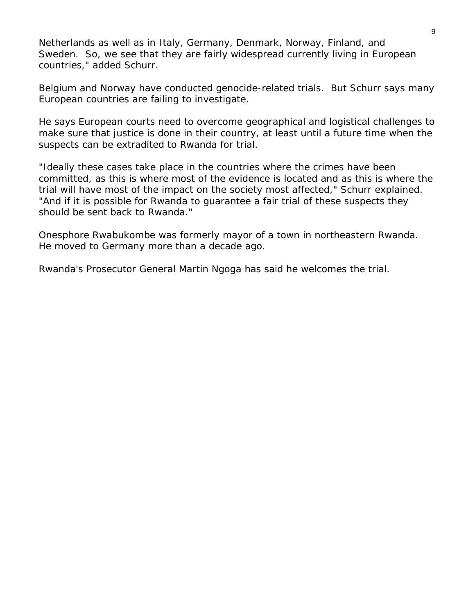Netherlands as well as in Italy, Germany, Denmark, Norway, Finland, and Sweden. So, we see that they are fairly widespread currently living in European countries," added Schurr.

Belgium and Norway have conducted genocide-related trials. But Schurr says many European countries are failing to investigate.

He says European courts need to overcome geographical and logistical challenges to make sure that justice is done in their country, at least until a future time when the suspects can be extradited to Rwanda for trial.

"Ideally these cases take place in the countries where the crimes have been committed, as this is where most of the evidence is located and as this is where the trial will have most of the impact on the society most affected," Schurr explained. "And if it is possible for Rwanda to guarantee a fair trial of these suspects they should be sent back to Rwanda."

Onesphore Rwabukombe was formerly mayor of a town in northeastern Rwanda. He moved to Germany more than a decade ago.

Rwanda's Prosecutor General Martin Ngoga has said he welcomes the trial.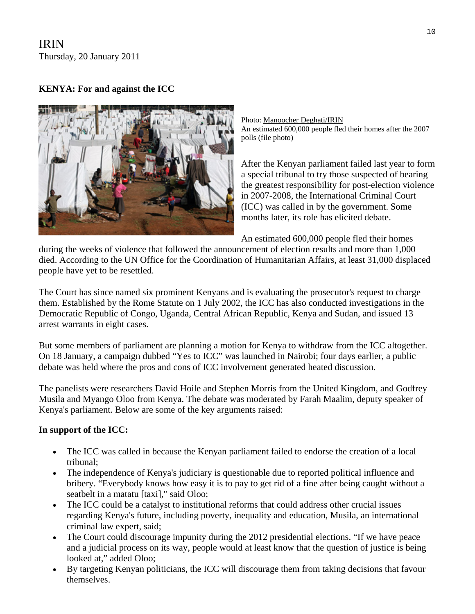IRIN Thursday, 20 January 2011

### **KENYA: For and against the ICC**



Photo: [Manoocher Deghati/IRIN](http://www.irinnews.org/photo) An estimated 600,000 people fled their homes after the 2007 polls (file photo)

After the Kenyan parliament failed last year to f orm a special tribunal to try those suspected of bearin g the greatest responsibility for [post-election violence](http://www.irinnews.org/IndepthMain.aspx?reportid=76116&indepthid=68)  [in 2007-2008](http://www.irinnews.org/IndepthMain.aspx?reportid=76116&indepthid=68), the International Criminal Court (ICC) was called in by the government. Some months later, its role has elicited debate.

An estimated 600,000 people fled their homes

during the weeks of violence that followed the announcement of election results and more than 1,000 died. According to the UN Office for the Coordination of Humanitarian Affairs, at least 31,000 displaced people have yet to be resettled.

The Court has since named six prominent Kenyans and is evaluating the prosecutor's request to charge them. Established by the Rome Statute on 1 July 2002, the ICC has also conducted investigations in the Democratic Republic of Congo, Uganda, Central African Republic, Kenya and Sudan, and issued 13 arrest warrants in eight cases.

But some members of parliament are planning a motion for Kenya to withdraw from the ICC altogether. On 18 January, a campaign dubbed "Yes to ICC" was launched in Nairobi; four days earlier, a public debate was held where the pros and cons of ICC involvement generated heated discussion.

The panelists were researchers David Hoile and Stephen Morris from the United Kingdom, and Godfrey Musila and Myango Oloo from Kenya. The debate was moderated by Farah Maalim, deputy speaker of Kenya's parliament. Below are some of the key arguments raised:

#### **In support of the ICC:**

- The ICC was called in because the Kenyan parliament failed to endorse the creation of a local tribunal;
- The independence of Kenya's judiciary is questionable due to reported political influence and bribery. "Everybody knows how easy it is to pay to get rid of a fine after being caught without a seatbelt in a matatu [taxi]," said Oloo;
- The ICC could be a catalyst to institutional reforms that could address other crucial issues regarding Kenya's future, including poverty, inequality and education, Musila, an international criminal law expert, said;
- The Court could discourage impunity during the 2012 presidential elections. "If we have peace and a judicial process on its way, people would at least know that the question of justice is being looked at," added Oloo;
- By targeting Kenyan politicians, the ICC will discourage them from taking decisions that favour themselves.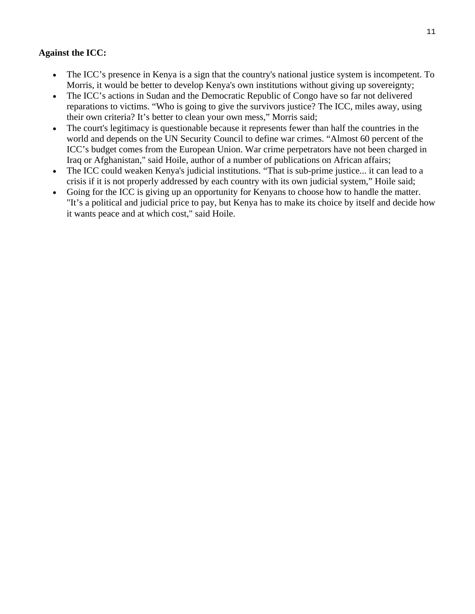#### **Against the ICC:**

- The ICC's presence in Kenya is a sign that the country's national justice system is incompetent. To Morris, it would be better to develop Kenya's own institutions without giving up sovereignty;
- The ICC's actions in Sudan and [the Democratic Republic of Congo](http://www.irinnews.org/Report.aspx?ReportID=91672) have so far not delivered reparations to victims. "Who is going to give the survivors justice? The ICC, miles away, using their own criteria? It's better to clean your own mess," Morris said;
- The court's legitimacy is questionable because it represents fewer than half the countries in the world and depends on the UN Security Council to define war crimes. "Almost 60 percent of the ICC's budget comes from the European Union. War crime perpetrators have not been charged in Iraq or Afghanistan," said Hoile, author of a number of publications on African affairs;
- The ICC could weaken Kenya's judicial institutions. "That is sub-prime justice... it can lead to a crisis if it is not properly addressed by each country with its own judicial system," Hoile said;
- Going for the ICC is giving up an opportunity for Kenyans to choose how to handle the matter. "It's a political and judicial price to pay, but Kenya has to make its choice by itself and decide how it wants peace and at which cost," said Hoile.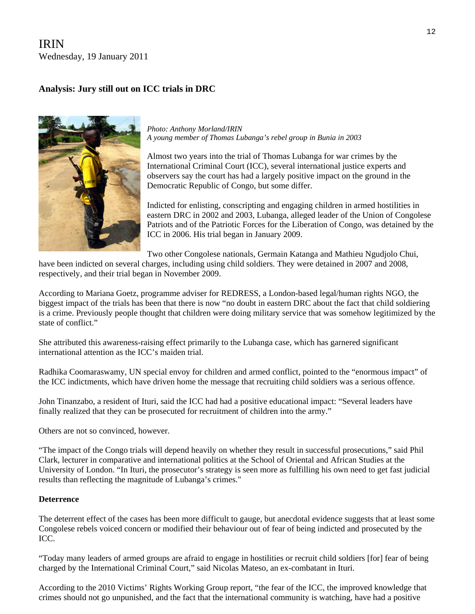## IRIN Wednesday, 19 January 2011

## **Analysis: Jury still out on ICC trials in DRC**



*Photo: [Anthony Morland/IRIN](http://www.irinnews.org/photo.aspx)  A young member of Thomas Lubanga's rebel group in Bunia in 2003* 

Almost two years into the trial of Thomas Lubanga for war crimes by the International Criminal Court (ICC), several international justice experts and observers say the court has had a largely positive impact on the ground in the Democratic Republic of Congo, but some differ.

Indicted for enlisting, conscripting and engaging children in armed hostilities in eastern DRC in 2002 and 2003, Lubanga, alleged leader of the Union of Congolese Patriots and of the Patriotic Forces for the Liberation of Congo, was detained by the ICC in 2006. His trial began in January 2009.

Two other Congolese nationals, Germain Katanga and Mathieu Ngudjolo Chui,

have been indicted on several charges, including using child soldiers. They were detained in 2007 and 2008, respectively, and their trial began in November 2009.

According to Mariana Goetz, programme adviser for REDRESS, a London-based legal/human rights NGO, the biggest impact of the trials has been that there is now "no doubt in eastern DRC about the fact that child soldiering is a crime. Previously people thought that children were doing military service that was somehow legitimized by the state of conflict."

She attributed this awareness-raising effect primarily to the Lubanga case, which has garnered significant international attention as the ICC's maiden trial.

Radhika Coomaraswamy, UN special envoy for children and armed conflict, pointed to the "enormous impact" of the ICC indictments, which have driven home the message that recruiting child soldiers was a serious offence.

John Tinanzabo, a resident of Ituri, said the ICC had had a positive educational impact: "Several leaders have finally realized that they can be prosecuted for recruitment of children into the army."

Others are not so convinced, however.

"The impact of the Congo trials will depend heavily on whether they result in successful prosecutions," said Phil Clark, lecturer in comparative and international politics at the School of Oriental and African Studies at the University of London. "In Ituri, the prosecutor's strategy is seen more as fulfilling his own need to get fast judicial results than reflecting the magnitude of Lubanga's crimes."

#### **Deterrence**

The deterrent effect of the cases has been more difficult to gauge, but anecdotal evidence suggests that at least some Congolese rebels voiced concern or modified their behaviour out of fear of being indicted and prosecuted by the ICC.

"Today many leaders of armed groups are afraid to engage in hostilities or recruit child soldiers [for] fear of being charged by the International Criminal Court," said Nicolas Mateso, an ex-combatant in Ituri.

According to the 2010 Victims' Rights Working Group report, "the fear of the ICC, the improved knowledge that crimes should not go unpunished, and the fact that the international community is watching, have had a positive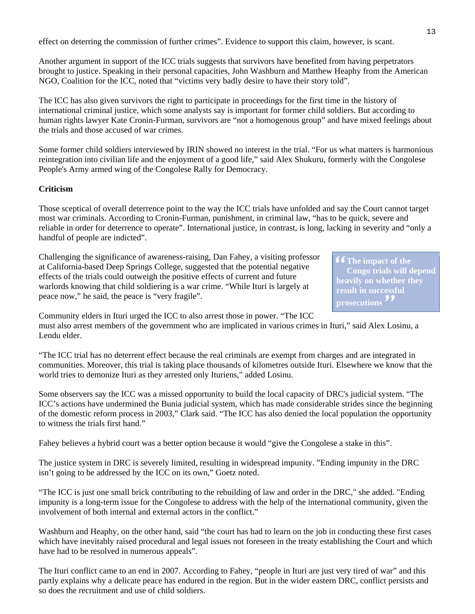effect on deterring the commission of further crimes". Evidence to support this claim, however, is scant.

Another argument in support of the ICC trials suggests that survivors have benefited from having perpetrators brought to justice. Speaking in their personal capacities, John Washburn and Matthew Heaphy from the American NGO, Coalition for the ICC, noted that "victims very badly desire to have their story told".

The ICC has also given survivors the right to participate in proceedings for the first time in the history of international criminal justice, which some analysts say is important for former child soldiers. But according to human rights lawyer Kate Cronin-Furman, survivors are "not a homogenous group" and have mixed feelings about the trials and those accused of war crimes.

Some former child soldiers interviewed by IRIN showed no interest in the trial. "For us what matters is harmonious reintegration into civilian life and the enjoyment of a good life," said Alex Shukuru, formerly with the Congolese People's Army armed wing of the Congolese Rally for Democracy.

#### **Criticism**

Those sceptical of overall deterrence point to the way the ICC trials have unfolded and say the Court cannot target most war criminals. According to Cronin-Furman, punishment, in criminal law, "has to be quick, severe and reliable in order for deterrence to operate". International justice, in contrast, is long, lacking in severity and "only a handful of people are indicted".

Challenging the significance of awareness-raising, Dan Fahey, a visiting professor at California-based Deep Springs College, suggested that the potential negative effects of the trials could outweigh the positive effects of current and future warlords knowing that child soldiering is a war crime. "While Ituri is largely at peace now," he said, the peace is "very fragile".

**The impact of the Congo trials will depend heavily on whether they result in successful prosecutions**

Community elders in Ituri urged the ICC to also arrest those in power. "The ICC

must also arrest members of the government who are implicated in various crimes in Ituri," said Alex Losinu, a Lendu elder.

"The ICC trial has no deterrent effect because the real criminals are exempt from charges and are integrated in communities. Moreover, this trial is taking place thousands of kilometres outside Ituri. Elsewhere we know that the world tries to demonize Ituri as they arrested only Ituriens," added Losinu.

Some observers say the ICC was a missed opportunity to build the local capacity of DRC's judicial system. "The ICC's actions have undermined the Bunia judicial system, which has made considerable strides since the beginning of the domestic reform process in 2003," Clark said. "The ICC has also denied the local population the opportunity to witness the trials first hand."

Fahey believes a hybrid court was a better option because it would "give the Congolese a stake in this".

The justice system in DRC is severely limited, resulting in widespread impunity. "Ending impunity in the DRC isn't going to be addressed by the ICC on its own," Goetz noted.

"The ICC is just one small brick contributing to the rebuilding of law and order in the DRC," she added. "Ending impunity is a long-term issue for the Congolese to address with the help of the international community, given the involvement of both internal and external actors in the conflict."

Washburn and Heaphy, on the other hand, said "the court has had to learn on the job in conducting these first cases which have inevitably raised procedural and legal issues not foreseen in the treaty establishing the Court and which have had to be resolved in numerous appeals".

The Ituri conflict came to an end in 2007. According to Fahey, "people in Ituri are just very tired of war" and this partly explains why a delicate peace has endured in the region. But in the wider eastern DRC, conflict persists and so does the recruitment and use of child soldiers.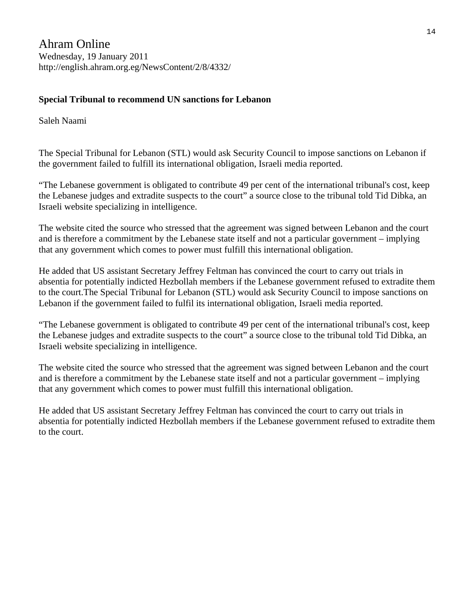Ahram Online Wednesday, 19 January 2011 http://english.ahram.org.eg/NewsContent/2/8/4332/

#### **Special Tribunal to recommend UN sanctions for Lebanon**

Saleh Naami

The Special Tribunal for Lebanon (STL) would ask Security Council to impose sanctions on Lebanon if the government failed to fulfill its international obligation, Israeli media reported.

"The Lebanese government is obligated to contribute 49 per cent of the international tribunal's cost, keep the Lebanese judges and extradite suspects to the court" a source close to the tribunal told Tid Dibka, an Israeli website specializing in intelligence.

The website cited the source who stressed that the agreement was signed between Lebanon and the court and is therefore a commitment by the Lebanese state itself and not a particular government – implying that any government which comes to power must fulfill this international obligation.

He added that US assistant Secretary Jeffrey Feltman has convinced the court to carry out trials in absentia for potentially indicted Hezbollah members if the Lebanese government refused to extradite them to the court.The Special Tribunal for Lebanon (STL) would ask Security Council to impose sanctions on Lebanon if the government failed to fulfil its international obligation, Israeli media reported.

"The Lebanese government is obligated to contribute 49 per cent of the international tribunal's cost, keep the Lebanese judges and extradite suspects to the court" a source close to the tribunal told Tid Dibka, an Israeli website specializing in intelligence.

The website cited the source who stressed that the agreement was signed between Lebanon and the court and is therefore a commitment by the Lebanese state itself and not a particular government – implying that any government which comes to power must fulfill this international obligation.

He added that US assistant Secretary Jeffrey Feltman has convinced the court to carry out trials in absentia for potentially indicted Hezbollah members if the Lebanese government refused to extradite them to the court.